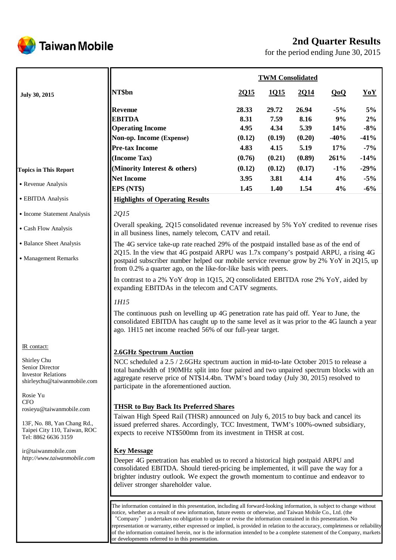

# **2nd Quarter Results**

for the period ending June 30, 2015

|                                                                                           |                                                                                                                                                                                                                                                                                                                                                                                                                                                                                                                                                                                                                                                                         | <b>TWM Consolidated</b> |                       |                       |                    |                   |  |
|-------------------------------------------------------------------------------------------|-------------------------------------------------------------------------------------------------------------------------------------------------------------------------------------------------------------------------------------------------------------------------------------------------------------------------------------------------------------------------------------------------------------------------------------------------------------------------------------------------------------------------------------------------------------------------------------------------------------------------------------------------------------------------|-------------------------|-----------------------|-----------------------|--------------------|-------------------|--|
| July 30, 2015                                                                             | NT\$bn                                                                                                                                                                                                                                                                                                                                                                                                                                                                                                                                                                                                                                                                  | 2015                    | 1015                  | <u>2014</u>           | QoQ                | YoY               |  |
|                                                                                           | <b>Revenue</b><br><b>EBITDA</b><br><b>Operating Income</b>                                                                                                                                                                                                                                                                                                                                                                                                                                                                                                                                                                                                              | 28.33<br>8.31<br>4.95   | 29.72<br>7.59<br>4.34 | 26.94<br>8.16<br>5.39 | $-5%$<br>9%<br>14% | 5%<br>2%<br>$-8%$ |  |
|                                                                                           | Non-op. Income (Expense)                                                                                                                                                                                                                                                                                                                                                                                                                                                                                                                                                                                                                                                | (0.12)                  | (0.19)                | (0.20)                | $-40%$             | $-41%$            |  |
|                                                                                           | <b>Pre-tax Income</b>                                                                                                                                                                                                                                                                                                                                                                                                                                                                                                                                                                                                                                                   | 4.83                    | 4.15                  | 5.19                  | 17%                | $-7%$             |  |
|                                                                                           | (Income Tax)                                                                                                                                                                                                                                                                                                                                                                                                                                                                                                                                                                                                                                                            | (0.76)                  | (0.21)                | (0.89)                | 261%               | $-14%$            |  |
| <b>Topics in This Report</b>                                                              | (Minority Interest & others)                                                                                                                                                                                                                                                                                                                                                                                                                                                                                                                                                                                                                                            | (0.12)                  | (0.12)                | (0.17)                | $-1\%$             | $-29%$            |  |
| • Revenue Analysis                                                                        | <b>Net Income</b>                                                                                                                                                                                                                                                                                                                                                                                                                                                                                                                                                                                                                                                       | 3.95                    | 3.81                  | 4.14                  | 4%                 | $-5%$             |  |
|                                                                                           | EPS (NT\$)                                                                                                                                                                                                                                                                                                                                                                                                                                                                                                                                                                                                                                                              | 1.45                    | 1.40                  | 1.54                  | 4%                 | $-6%$             |  |
| • EBITDA Analysis                                                                         | <b>Highlights of Operating Results</b>                                                                                                                                                                                                                                                                                                                                                                                                                                                                                                                                                                                                                                  |                         |                       |                       |                    |                   |  |
| • Income Statement Analysis                                                               | 2015                                                                                                                                                                                                                                                                                                                                                                                                                                                                                                                                                                                                                                                                    |                         |                       |                       |                    |                   |  |
| • Cash Flow Analysis                                                                      | Overall speaking, 2Q15 consolidated revenue increased by 5% YoY credited to revenue rises<br>in all business lines, namely telecom, CATV and retail.                                                                                                                                                                                                                                                                                                                                                                                                                                                                                                                    |                         |                       |                       |                    |                   |  |
| • Balance Sheet Analysis                                                                  | The 4G service take-up rate reached 29% of the postpaid installed base as of the end of<br>2Q15. In the view that 4G postpaid ARPU was 1.7x company's postpaid ARPU, a rising 4G                                                                                                                                                                                                                                                                                                                                                                                                                                                                                        |                         |                       |                       |                    |                   |  |
| • Management Remarks                                                                      | postpaid subscriber number helped our mobile service revenue grow by 2% YoY in 2Q15, up<br>from 0.2% a quarter ago, on the like-for-like basis with peers.                                                                                                                                                                                                                                                                                                                                                                                                                                                                                                              |                         |                       |                       |                    |                   |  |
|                                                                                           | In contrast to a 2% YoY drop in 1Q15, 2Q consolidated EBITDA rose 2% YoY, aided by<br>expanding EBITDAs in the telecom and CATV segments.                                                                                                                                                                                                                                                                                                                                                                                                                                                                                                                               |                         |                       |                       |                    |                   |  |
|                                                                                           | 1H15                                                                                                                                                                                                                                                                                                                                                                                                                                                                                                                                                                                                                                                                    |                         |                       |                       |                    |                   |  |
|                                                                                           | The continuous push on levelling up 4G penetration rate has paid off. Year to June, the<br>consolidated EBITDA has caught up to the same level as it was prior to the 4G launch a year<br>ago. 1H15 net income reached 56% of our full-year target.                                                                                                                                                                                                                                                                                                                                                                                                                     |                         |                       |                       |                    |                   |  |
| IR contact:                                                                               | 2.6GHz Spectrum Auction                                                                                                                                                                                                                                                                                                                                                                                                                                                                                                                                                                                                                                                 |                         |                       |                       |                    |                   |  |
| Shirley Chu<br>Semor Director<br><b>Investor Relations</b><br>shirleychu@taiwanmobile.com | NCC scheduled a 2.5 / 2.6GHz spectrum auction in mid-to-late October 2015 to release a<br>total bandwidth of 190MHz split into four paired and two unpaired spectrum blocks with an<br>aggregate reserve price of NT\$14.4bn. TWM's board today (July 30, 2015) resolved to<br>participate in the aforementioned auction.                                                                                                                                                                                                                                                                                                                                               |                         |                       |                       |                    |                   |  |
| Rosie Yu<br><b>CFO</b>                                                                    |                                                                                                                                                                                                                                                                                                                                                                                                                                                                                                                                                                                                                                                                         |                         |                       |                       |                    |                   |  |
| rosieyu@taiwanmobile.com                                                                  | <b>THSR to Buy Back Its Preferred Shares</b>                                                                                                                                                                                                                                                                                                                                                                                                                                                                                                                                                                                                                            |                         |                       |                       |                    |                   |  |
| 13F, No. 88, Yan Chang Rd.,<br>Taipei City 110, Taiwan, ROC<br>Tel: 8862 6636 3159        | Taiwan High Speed Rail (THSR) announced on July 6, 2015 to buy back and cancel its<br>issued preferred shares. Accordingly, TCC Investment, TWM's 100%-owned subsidiary,<br>expects to receive NT\$500mn from its investment in THSR at cost.                                                                                                                                                                                                                                                                                                                                                                                                                           |                         |                       |                       |                    |                   |  |
| ir@taiwanmobile.com<br>http://www.taiwanmobile.com                                        | <b>Key Message</b><br>Deeper 4G penetration has enabled us to record a historical high postpaid ARPU and<br>consolidated EBITDA. Should tiered-pricing be implemented, it will pave the way for a<br>brighter industry outlook. We expect the growth momentum to continue and endeavor to<br>deliver stronger shareholder value.                                                                                                                                                                                                                                                                                                                                        |                         |                       |                       |                    |                   |  |
|                                                                                           | The information contained in this presentation, including all forward-looking information, is subject to change without<br>notice, whether as a result of new information, future events or otherwise, and Taiwan Mobile Co., Ltd. (the<br>"Company" ) undertakes no obligation to update or revise the information contained in this presentation. No<br>representation or warranty, either expressed or implied, is provided in relation to the accuracy, completeness or reliability<br>of the information contained herein, nor is the information intended to be a complete statement of the Company, markets<br>or developments referred to in this presentation. |                         |                       |                       |                    |                   |  |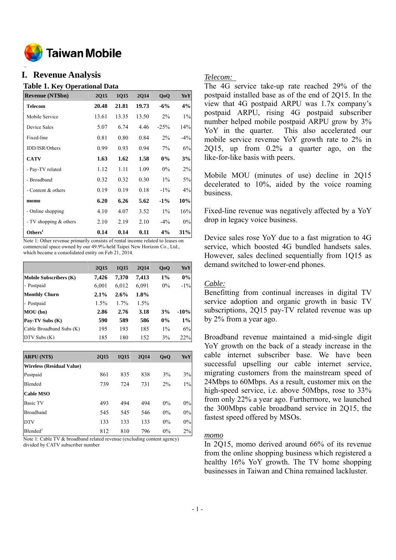

#### **o I. Revenue Analysis**

#### **Table 1. Key Operational Data**

| <b>Revenue (NT\$bn)</b>  | 2Q15  | 1Q15  | <b>2Q14</b> | QoQ    | YoY    |
|--------------------------|-------|-------|-------------|--------|--------|
| <b>Telecom</b>           | 20.48 | 21.81 | 19.73       | $-6\%$ | 4%     |
| Mobile Service           | 13.61 | 13.35 | 13.50       | $2\%$  | $1\%$  |
| Device Sales             | 5.07  | 6.74  | 4.46        | $-25%$ | 14%    |
| Fixed-line               | 0.81  | 0.80  | 0.84        | $2\%$  | $-4\%$ |
| IDD/ISR/Others           | 0.99  | 0.93  | 0.94        | $7\%$  | 6%     |
| <b>CATV</b>              | 1.63  | 1.62  | 1.58        | $0\%$  | 3%     |
| - Pay-TV related         | 1.12  | 1.11  | 1.09        | $0\%$  | 2%     |
| - Broadband              | 0.32  | 0.32  | 0.30        | $1\%$  | 5%     |
| - Content & others       | 0.19  | 0.19  | 0.18        | $-1\%$ | $4\%$  |
| momo                     | 6.20  | 6.26  | 5.62        | $-1\%$ | 10%    |
| - Online shopping        | 4.10  | 4.07  | 3.52        | $1\%$  | 16%    |
| - TV shopping $&$ others | 2.10  | 2.19  | 2.10        | $-4\%$ | $0\%$  |
| Others <sup>1</sup>      | 0.14  | 0.14  | 0.11        | 4%     | 31%    |

Note 1: Other revenue primarily consists of rental income related to leases on commercial space owned by our 49.9%-held Taipei New Horizon Co., Ltd., which became a consolidated entity on Feb 21, 2014.

|                               | <b>2015</b> | 1015    | <b>2014</b> | QoQ   | YoY    |
|-------------------------------|-------------|---------|-------------|-------|--------|
| <b>Mobile Subscribers (K)</b> | 7,426       | 7,370   | 7,413       | $1\%$ | 0%     |
| - Postpaid                    | 6,001       | 6,012   | 6,091       | $0\%$ | $-1\%$ |
| <b>Monthly Churn</b>          | $2.1\%$     | 2.6%    | 1.8%        |       |        |
| - Postpaid                    | $1.5\%$     | $1.7\%$ | $1.5\%$     |       |        |
| MOU(bn)                       | 2.86        | 2.76    | 3.18        | 3%    | $-10%$ |
| Pay-TV Subs (K)               | 590         | 589     | 586         | $0\%$ | 1%     |
| Cable Broadband Subs (K)      | 195         | 193     | 185         | $1\%$ | 6%     |
| $DTV$ Subs $(K)$              | 185         | 180     | 152         | 3%    | 22%    |

| <b>ARPU (NT\$)</b>               | 2015 | <b>1015</b> | <b>2014</b> | QoQ   | YoY   |
|----------------------------------|------|-------------|-------------|-------|-------|
| <b>Wireless (Residual Value)</b> |      |             |             |       |       |
| Postpaid                         | 861  | 835         | 838         | 3%    | 3%    |
| Blended                          | 739  | 724         | 731         | $2\%$ | $1\%$ |
| <b>Cable MSO</b>                 |      |             |             |       |       |
| <b>Basic TV</b>                  | 493  | 494         | 494         | $0\%$ | $0\%$ |
| <b>Broadband</b>                 | 545  | 545         | 546         | $0\%$ | 0%    |
| <b>DTV</b>                       | 133  | 133         | 133         | $0\%$ | 0%    |
| Blended <sup>1</sup>             | 812  | 810         | 796         | $0\%$ | $2\%$ |

Note 1: Cable TV & broadband related revenue (excluding content agency) divided by CATV subscriber number

#### *Telecom:*

The 4G service take-up rate reached 29% of the postpaid installed base as of the end of 2Q15. In the view that 4G postpaid ARPU was 1.7x company's postpaid ARPU, rising 4G postpaid subscriber number helped mobile postpaid ARPU grow by 3% YoY in the quarter. This also accelerated our mobile service revenue YoY growth rate to 2% in 2Q15, up from 0.2% a quarter ago, on the like-for-like basis with peers.

Mobile MOU (minutes of use) decline in 2Q15 decelerated to 10%, aided by the voice roaming business.

Fixed-line revenue was negatively affected by a YoY drop in legacy voice business.

Device sales rose YoY due to a fast migration to 4G service, which boosted 4G bundled handsets sales. However, sales declined sequentially from 1Q15 as demand switched to lower-end phones.

## *Cable:*

Benefitting from continual increases in digital TV service adoption and organic growth in basic TV subscriptions, 2Q15 pay-TV related revenue was up by 2% from a year ago.

Broadband revenue maintained a mid-single digit YoY growth on the back of a steady increase in the cable internet subscriber base. We have been successful upselling our cable internet service, migrating customers from the mainstream speed of 24Mbps to 60Mbps. As a result, customer mix on the high-speed service, i.e. above 50Mbps, rose to 33% from only 22% a year ago. Furthermore, we launched the 300Mbps cable broadband service in 2Q15, the fastest speed offered by MSOs.

#### *momo*

In 2Q15, momo derived around 66% of its revenue from the online shopping business which registered a healthy 16% YoY growth. The TV home shopping businesses in Taiwan and China remained lackluster.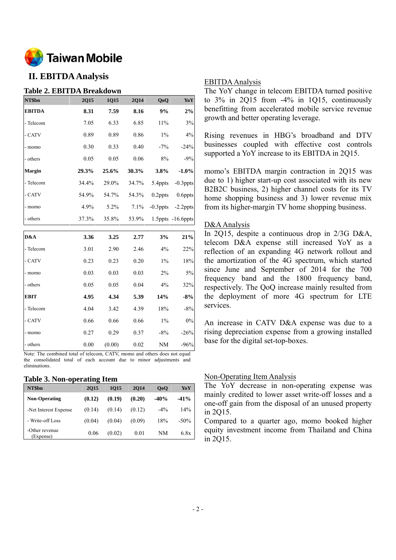

# **II. EBITDA Analysis**

## **Table 2. EBITDA Breakdown**

| NT\$bn        | 2Q15  | 1Q15  | <b>2Q14</b> | QoQ         | Yo Y                    |
|---------------|-------|-------|-------------|-------------|-------------------------|
| <b>EBITDA</b> | 8.31  | 7.59  | 8.16        | 9%          | 2%                      |
| - Telecom     | 7.05  | 6.33  | 6.85        | 11%         | $3\%$                   |
| - CATV        | 0.89  | 0.89  | 0.86        | $1\%$       | 4%                      |
| - momo        | 0.30  | 0.33  | 0.40        | $-7%$       | $-24%$                  |
| - others      | 0.05  | 0.05  | 0.06        | 8%          | $-9%$                   |
| <b>Margin</b> | 29.3% | 25.6% | 30.3%       | 3.8%        | $-1.0\%$                |
| - Telecom     | 34.4% | 29.0% | 34.7%       | 5.4ppts     | $-0.3$ ppts             |
| - CATV        | 54.9% | 54.7% | 54.3%       | $0.2$ ppts  | 0.6ppts                 |
| - momo        | 4.9%  | 5.2%  | 7.1%        | $-0.3$ ppts | $-2.2$ ppts             |
| - others      | 37.3% | 35.8% | 53.9%       |             | $1.5$ ppts $-16.6$ ppts |
|               |       |       |             |             |                         |
| D&A           | 3.36  | 3.25  | 2.77        | 3%          | 21%                     |
| - Telecom     | 3.01  | 2.90  | 2.46        | 4%          | 22%                     |
| - CATV        | 0.23  | 0.23  | 0.20        | $1\%$       | 18%                     |
| - momo        | 0.03  | 0.03  | 0.03        | 2%          | $5\%$                   |
| - others      | 0.05  | 0.05  | 0.04        | 4%          | 32%                     |
| <b>EBIT</b>   | 4.95  | 4.34  | 5.39        | 14%         | $-8%$                   |
| - Telecom     | 4.04  | 3.42  | 4.39        | 18%         | $-8%$                   |

- others 0.00 (0.00) 0.02 NM -96% Note: The combined total of telecom, CATV, momo and others does not equal the consolidated total of each account due to minor adjustments and

- CATV 0.66 0.66 0.66 1% 0% - momo 0.27 0.29 0.37 -8% -26%

#### **Table 3. Non-operating Item**

eliminations.

| NT\$bn                      | <b>2015</b> | <b>1015</b> | 2014   | 0 <sub>0</sub> | YoY     |
|-----------------------------|-------------|-------------|--------|----------------|---------|
| <b>Non-Operating</b>        | (0.12)      | (0.19)      | (0.20) | $-40%$         | $-41\%$ |
| -Net Interest Expense       | (0.14)      | (0.14)      | (0.12) | $-4\%$         | 14%     |
| - Write-off Loss            | (0.04)      | (0.04)      | (0.09) | 18%            | $-50\%$ |
| -Other revenue<br>(Expense) | 0.06        | (0.02)      | 0.01   | NM             | 6.8x    |

### EBITDA Analysis

The YoY change in telecom EBITDA turned positive to  $3\%$  in 2015 from  $-4\%$  in 1015, continuously benefitting from accelerated mobile service revenue growth and better operating leverage.

Rising revenues in HBG's broadband and DTV businesses coupled with effective cost controls supported a YoY increase to its EBITDA in 2Q15.

momo's EBITDA margin contraction in 2Q15 was due to 1) higher start-up cost associated with its new B2B2C business, 2) higher channel costs for its TV home shopping business and 3) lower revenue mix from its higher-margin TV home shopping business.

#### D&A Analysis

In 2Q15, despite a continuous drop in 2/3G D&A, telecom D&A expense still increased YoY as a reflection of an expanding 4G network rollout and the amortization of the 4G spectrum, which started since June and September of 2014 for the 700 frequency band and the 1800 frequency band, respectively. The QoQ increase mainly resulted from the deployment of more 4G spectrum for LTE services.

An increase in CATV D&A expense was due to a rising depreciation expense from a growing installed base for the digital set-top-boxes.

#### Non-Operating Item Analysis

The YoY decrease in non-operating expense was mainly credited to lower asset write-off losses and a one-off gain from the disposal of an unused property in 2Q15.

Compared to a quarter ago, momo booked higher equity investment income from Thailand and China in 2Q15.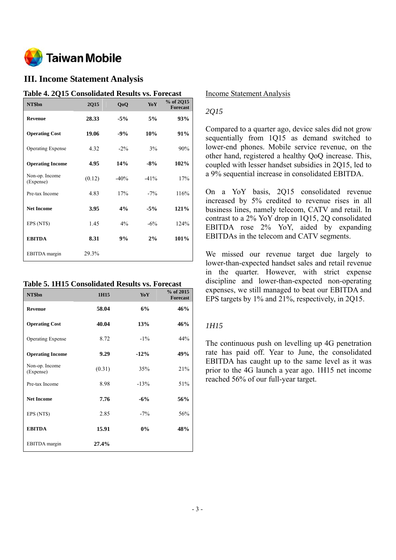

# **III. Income Statement Analysis**

| Table 4. 2015 Consondated Results vs. Forecast |        |        |        |                              |
|------------------------------------------------|--------|--------|--------|------------------------------|
| NT\$bn                                         | 2Q15   | QoQ    | YoY    | % of 2Q15<br><b>Forecast</b> |
| <b>Revenue</b>                                 | 28.33  | $-5\%$ | 5%     | 93%                          |
| <b>Operating Cost</b>                          | 19.06  | $-9%$  | 10%    | 91%                          |
| <b>Operating Expense</b>                       | 4.32   | $-2\%$ | 3%     | 90%                          |
| <b>Operating Income</b>                        | 4.95   | 14%    | $-8%$  | 102%                         |
| Non-op. Income<br>(Expense)                    | (0.12) | $-40%$ | $-41%$ | 17%                          |
| Pre-tax Income                                 | 4.83   | 17%    | $-7\%$ | 116%                         |
| <b>Net Income</b>                              | 3.95   | 4%     | $-5%$  | 121%                         |
| EPS (NT\$)                                     | 1.45   | $4\%$  | $-6%$  | 124%                         |
| <b>EBITDA</b>                                  | 8.31   | 9%     | 2%     | 101%                         |
| EBITDA margin                                  | 29.3%  |        |        |                              |

# **Table 4. 2Q15 Consolidated Results vs. Forecast**

### **Table 5. 1H15 Consolidated Results vs. Forecast**

| NT\$bn                      | 1H15   | YoY        | % of 2015<br><b>Forecast</b> |
|-----------------------------|--------|------------|------------------------------|
| <b>Revenue</b>              | 58.04  | 6%         | 46%                          |
| <b>Operating Cost</b>       | 40.04  | <b>13%</b> | 46%                          |
| <b>Operating Expense</b>    | 8.72   | $-1\%$     | 44%                          |
| <b>Operating Income</b>     | 9.29   | $-12%$     | 49%                          |
| Non-op. Income<br>(Expense) | (0.31) | 35%        | 21%                          |
| Pre-tax Income              | 8.98   | $-13%$     | 51%                          |
| <b>Net Income</b>           | 7.76   | $-6%$      | 56%                          |
| EPS (NT\$)                  | 2.85   | $-7\%$     | 56%                          |
| <b>EBITDA</b>               | 15.91  | 0%         | 48%                          |
| EBITDA margin               | 27.4%  |            |                              |

#### Income Statement Analysis

## *2Q15*

Compared to a quarter ago, device sales did not grow sequentially from 1Q15 as demand switched to lower-end phones. Mobile service revenue, on the other hand, registered a healthy QoQ increase. This, coupled with lesser handset subsidies in 2Q15, led to a 9% sequential increase in consolidated EBITDA.

On a YoY basis, 2Q15 consolidated revenue increased by 5% credited to revenue rises in all business lines, namely telecom, CATV and retail. In contrast to a 2% YoY drop in 1Q15, 2Q consolidated EBITDA rose 2% YoY, aided by expanding EBITDAs in the telecom and CATV segments.

We missed our revenue target due largely to lower-than-expected handset sales and retail revenue in the quarter. However, with strict expense discipline and lower-than-expected non-operating expenses, we still managed to beat our EBITDA and EPS targets by 1% and 21%, respectively, in 2Q15.

## *1H15*

The continuous push on levelling up 4G penetration rate has paid off. Year to June, the consolidated EBITDA has caught up to the same level as it was prior to the 4G launch a year ago. 1H15 net income reached 56% of our full-year target.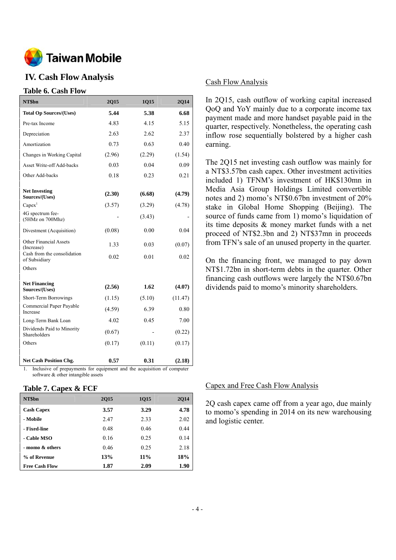

# **IV. Cash Flow Analysis**

### **Table 6. Cash Flow**

| NT\$bn                                       | 2Q15   | 1Q15   | 2Q14    |
|----------------------------------------------|--------|--------|---------|
| <b>Total Op Sources/(Uses)</b>               | 5.44   | 5.38   | 6.68    |
| Pre-tax Income                               | 4.83   | 4.15   | 5.15    |
| Depreciation                                 | 2.63   | 2.62   | 2.37    |
| Amortization                                 | 0.73   | 0.63   | 0.40    |
| Changes in Working Capital                   | (2.96) | (2.29) | (1.54)  |
| Asset Write-off Add-backs                    | 0.03   | 0.04   | 0.09    |
| Other Add-backs                              | 0.18   | 0.23   | 0.21    |
| <b>Net Investing</b><br>Sources/(Uses)       | (2.30) | (6.68) | (4.79)  |
| Capex <sup>1</sup>                           | (3.57) | (3.29) | (4.78)  |
| 4G spectrum fee-<br>(5HMz on 700Mhz)         |        | (3.43) |         |
| Divestment (Acquisition)                     | (0.08) | 0.00   | 0.04    |
| <b>Other Financial Assets</b><br>(Increase)  | 1.33   | 0.03   | (0.07)  |
| Cash from the consolidation<br>of Subsidiary | 0.02   | 0.01   | 0.02    |
| Others                                       |        |        |         |
| <b>Net Financing</b><br>Sources/(Uses)       | (2.56) | 1.62   | (4.07)  |
| Short-Term Borrowings                        | (1.15) | (5.10) | (11.47) |
| Commercial Paper Payable<br>Increase         | (4.59) | 6.39   | 0.80    |
| Long-Term Bank Loan                          | 4.02   | 0.45   | 7.00    |
| Dividends Paid to Minority<br>Shareholders   | (0.67) |        | (0.22)  |
| Others                                       | (0.17) | (0.11) | (0.17)  |
| <b>Net Cash Position Chg.</b>                | 0.57   | 0.31   | (2.18)  |

1. Inclusive of prepayments for equipment and the acquisition of computer software & other intangible assets

#### **Table 7. Capex & FCF**

| NT\$bn                | <b>2015</b> | 1Q15 | <b>2014</b> |
|-----------------------|-------------|------|-------------|
| <b>Cash Capex</b>     | 3.57        | 3.29 | 4.78        |
| - Mobile              | 2.47        | 2.33 | 2.02        |
| - Fixed-line          | 0.48        | 0.46 | 0.44        |
| - Cable MSO           | 0.16        | 0.25 | 0.14        |
| - momo & others       | 0.46        | 0.25 | 2.18        |
| % of Revenue          | 13%         | 11%  | 18%         |
| <b>Free Cash Flow</b> | 1.87        | 2.09 | 1.90        |

#### Cash Flow Analysis

In 2Q15, cash outflow of working capital increased QoQ and YoY mainly due to a corporate income tax payment made and more handset payable paid in the quarter, respectively. Nonetheless, the operating cash inflow rose sequentially bolstered by a higher cash earning.

The 2Q15 net investing cash outflow was mainly for a NT\$3.57bn cash capex. Other investment activities included 1) TFNM's investment of HK\$130mn in Media Asia Group Holdings Limited convertible notes and 2) momo's NT\$0.67bn investment of 20% stake in Global Home Shopping (Beijing). The source of funds came from 1) momo's liquidation of its time deposits & money market funds with a net proceed of NT\$2.3bn and 2) NT\$37mn in proceeds from TFN's sale of an unused property in the quarter.

On the financing front, we managed to pay down NT\$1.72bn in short-term debts in the quarter. Other financing cash outflows were largely the NT\$0.67bn dividends paid to momo's minority shareholders.

#### Capex and Free Cash Flow Analysis

2Q cash capex came off from a year ago, due mainly to momo's spending in 2014 on its new warehousing and logistic center.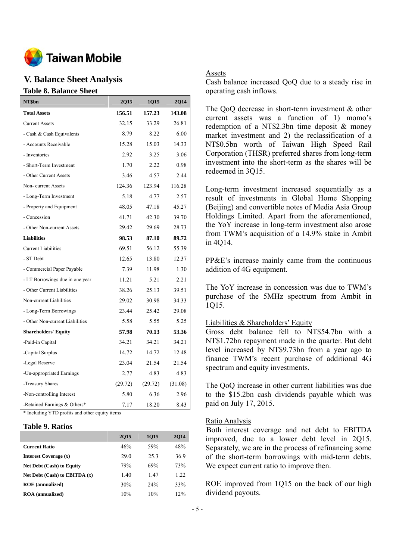

# **V. Balance Sheet Analysis**

# **Table 8. Balance Sheet**

| NT\$bn                          | 2Q15    | 1Q15    | 2Q14    |
|---------------------------------|---------|---------|---------|
| <b>Total Assets</b>             | 156.51  | 157.23  | 143.08  |
| <b>Current Assets</b>           | 32.15   | 33.29   | 26.81   |
| - Cash & Cash Equivalents       | 8.79    | 8.22    | 6.00    |
| - Accounts Receivable           | 15.28   | 15.03   | 14.33   |
| - Inventories                   | 2.92    | 3.25    | 3.06    |
| - Short-Term Investment         | 1.70    | 2.22    | 0.98    |
| - Other Current Assets          | 3.46    | 4.57    | 2.44    |
| Non-current Assets              | 124.36  | 123.94  | 116.28  |
| - Long-Term Investment          | 5.18    | 4.77    | 2.57    |
| - Property and Equipment        | 48.05   | 47.18   | 45.27   |
| - Concession                    | 41.71   | 42.30   | 39.70   |
| - Other Non-current Assets      | 29.42   | 29.69   | 28.73   |
| <b>Liabilities</b>              | 98.53   | 87.10   | 89.72   |
| <b>Current Liabilities</b>      | 69.51   | 56.12   | 55.39   |
| - ST Debt                       | 12.65   | 13.80   | 12.37   |
| - Commercial Paper Payable      | 7.39    | 11.98   | 1.30    |
| - LT Borrowings due in one year | 11.21   | 5.21    | 2.21    |
| - Other Current Liabilities     | 38.26   | 25.13   | 39.51   |
| Non-current Liabilities         | 29.02   | 30.98   | 34.33   |
| - Long-Term Borrowings          | 23.44   | 25.42   | 29.08   |
| - Other Non-current Liabilities | 5.58    | 5.55    | 5.25    |
| <b>Shareholders' Equity</b>     | 57.98   | 70.13   | 53.36   |
| -Paid-in Capital                | 34.21   | 34.21   | 34.21   |
| -Capital Surplus                | 14.72   | 14.72   | 12.48   |
| -Legal Reserve                  | 23.04   | 21.54   | 21.54   |
| -Un-appropriated Earnings       | 2.77    | 4.83    | 4.83    |
| -Treasury Shares                | (29.72) | (29.72) | (31.08) |
| -Non-controlling Interest       | 5.80    | 6.36    | 2.96    |
| -Retained Earnings & Others*    | 7.17    | 18.20   | 8.43    |

\* Including YTD profits and other equity items

#### **Table 9. Ratios**

|                                   | <b>2015</b> | 1015    | <b>2014</b> |
|-----------------------------------|-------------|---------|-------------|
| <b>Current Ratio</b>              | 46%         | 59%     | 48%         |
| Interest Coverage (x)             | 29.0        | 25.3    | 36.9        |
| <b>Net Debt (Cash) to Equity</b>  | 79%         | 69%     | 73%         |
| Net Debt $(Cash)$ to EBITDA $(x)$ | 1.40        | 1.47    | 1.22        |
| <b>ROE</b> (annualized)           | 30%         | $2.4\%$ | 33%         |
| <b>ROA</b> (annualized)           | 10%         | 10%     | 12%         |

#### Assets

Cash balance increased QoQ due to a steady rise in operating cash inflows.

The QoQ decrease in short-term investment & other current assets was a function of 1) momo's redemption of a NT\$2.3bn time deposit & money market investment and 2) the reclassification of a NT\$0.5bn worth of Taiwan High Speed Rail Corporation (THSR) preferred shares from long-term investment into the short-term as the shares will be redeemed in 3Q15.

Long-term investment increased sequentially as a result of investments in Global Home Shopping (Beijing) and convertible notes of Media Asia Group Holdings Limited. Apart from the aforementioned, the YoY increase in long-term investment also arose from TWM's acquisition of a 14.9% stake in Ambit in 4Q14.

PP&E's increase mainly came from the continuous addition of 4G equipment.

The YoY increase in concession was due to TWM's purchase of the 5MHz spectrum from Ambit in 1Q15.

#### Liabilities & Shareholders' Equity

Gross debt balance fell to NT\$54.7bn with a NT\$1.72bn repayment made in the quarter. But debt level increased by NT\$9.73bn from a year ago to finance TWM's recent purchase of additional 4G spectrum and equity investments.

The QoQ increase in other current liabilities was due to the \$15.2bn cash dividends payable which was paid on July 17, 2015.

#### Ratio Analysis

Both interest coverage and net debt to EBITDA improved, due to a lower debt level in 2Q15. Separately, we are in the process of refinancing some of the short-term borrowings with mid-term debts. We expect current ratio to improve then.

ROE improved from 1Q15 on the back of our high dividend payouts.